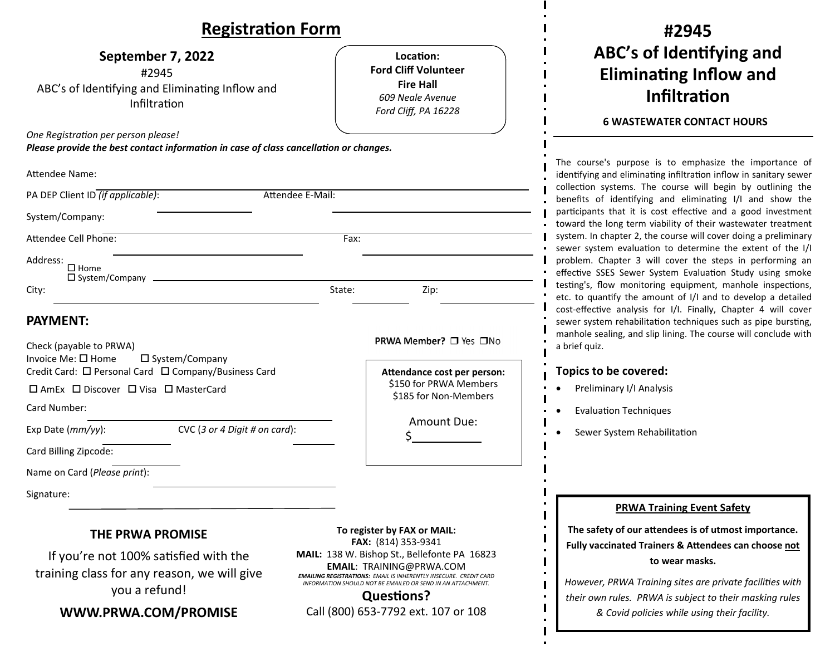| <b>Registration Form</b>                                                                                                                                                                                                                                                                |                                                                                                                                                                                                 | #2945                                                                                                                                                                                                                                                                                                                       |  |
|-----------------------------------------------------------------------------------------------------------------------------------------------------------------------------------------------------------------------------------------------------------------------------------------|-------------------------------------------------------------------------------------------------------------------------------------------------------------------------------------------------|-----------------------------------------------------------------------------------------------------------------------------------------------------------------------------------------------------------------------------------------------------------------------------------------------------------------------------|--|
| September 7, 2022<br>#2945<br>ABC's of Identifying and Eliminating Inflow and<br>Infiltration                                                                                                                                                                                           | Location:<br><b>Ford Cliff Volunteer</b><br><b>Fire Hall</b><br>609 Neale Avenue<br>Ford Cliff, PA 16228                                                                                        | ABC's of Identifying and<br><b>Eliminating Inflow and</b><br><b>Infiltration</b><br><b>6 WASTEWATER CONTACT HOURS</b>                                                                                                                                                                                                       |  |
| One Registration per person please!                                                                                                                                                                                                                                                     |                                                                                                                                                                                                 |                                                                                                                                                                                                                                                                                                                             |  |
| Please provide the best contact information in case of class cancellation or changes.                                                                                                                                                                                                   |                                                                                                                                                                                                 | The course's purpose is to emphasize the importance of                                                                                                                                                                                                                                                                      |  |
| Attendee Name:                                                                                                                                                                                                                                                                          |                                                                                                                                                                                                 | identifying and eliminating infiltration inflow in sanitary sewer<br>collection systems. The course will begin by outlining the<br>benefits of identifying and eliminating I/I and show the<br>participants that it is cost effective and a good investment<br>toward the long term viability of their wastewater treatment |  |
| PA DEP Client ID (if applicable):<br>Attendee E-Mail:                                                                                                                                                                                                                                   |                                                                                                                                                                                                 |                                                                                                                                                                                                                                                                                                                             |  |
| System/Company:                                                                                                                                                                                                                                                                         |                                                                                                                                                                                                 |                                                                                                                                                                                                                                                                                                                             |  |
| Attendee Cell Phone:                                                                                                                                                                                                                                                                    | Fax:                                                                                                                                                                                            | system. In chapter 2, the course will cover doing a preliminary                                                                                                                                                                                                                                                             |  |
| Address:<br>$\Box$ Home<br>□ System/Company<br>City:                                                                                                                                                                                                                                    | State:<br>Zip:                                                                                                                                                                                  | sewer system evaluation to determine the extent of the I/I<br>problem. Chapter 3 will cover the steps in performing an<br>effective SSES Sewer System Evaluation Study using smoke<br>testing's, flow monitoring equipment, manhole inspections,<br>etc. to quantify the amount of I/I and to develop a detailed            |  |
| <b>PAYMENT:</b><br>Check (payable to PRWA)<br>Invoice Me: □ Home<br>$\square$ System/Company<br>Credit Card: □ Personal Card □ Company/Business Card<br>$\Box$ AmEx $\Box$ Discover $\Box$ Visa $\Box$ MasterCard<br>Card Number:<br>CVC (3 or 4 Digit # on card):<br>Exp Date (mm/yy): | PRWA Member? □ Yes □No<br>Attendance cost per person:<br>\$150 for PRWA Members<br>\$185 for Non-Members<br>Amount Due:                                                                         | cost-effective analysis for I/I. Finally, Chapter 4 will cover<br>sewer system rehabilitation techniques such as pipe bursting,<br>manhole sealing, and slip lining. The course will conclude with<br>a brief quiz.<br>Topics to be covered:<br>Preliminary I/I Analysis<br><b>Evaluation Techniques</b>                    |  |
|                                                                                                                                                                                                                                                                                         |                                                                                                                                                                                                 | Sewer System Rehabilitation                                                                                                                                                                                                                                                                                                 |  |
| Card Billing Zipcode:                                                                                                                                                                                                                                                                   |                                                                                                                                                                                                 |                                                                                                                                                                                                                                                                                                                             |  |
| Name on Card (Please print):                                                                                                                                                                                                                                                            |                                                                                                                                                                                                 |                                                                                                                                                                                                                                                                                                                             |  |
| Signature:                                                                                                                                                                                                                                                                              |                                                                                                                                                                                                 | <b>PRWA Training Event Safety</b>                                                                                                                                                                                                                                                                                           |  |
| <b>THE PRWA PROMISE</b><br>If you're not 100% satisfied with the                                                                                                                                                                                                                        | To register by FAX or MAIL:<br>FAX: (814) 353-9341<br>MAIL: 138 W. Bishop St., Bellefonte PA 16823                                                                                              | The safety of our attendees is of utmost importance.<br>Fully vaccinated Trainers & Attendees can choose not<br>to wear masks.                                                                                                                                                                                              |  |
| training class for any reason, we will give<br>you a refund!                                                                                                                                                                                                                            | <b>EMAIL: TRAINING@PRWA.COM</b><br><b>EMAILING REGISTRATIONS: EMAIL IS INHERENTLY INSECURE. CREDIT CARD</b><br>INFORMATION SHOULD NOT BE EMAILED OR SEND IN AN ATTACHMENT.<br><b>Questions?</b> | However, PRWA Training sites are private facilities with<br>their own rules. PRWA is subject to their masking rules                                                                                                                                                                                                         |  |
| WWW.PRWA.COM/PROMISE                                                                                                                                                                                                                                                                    | Call (800) 653-7792 ext. 107 or 108                                                                                                                                                             | & Covid policies while using their facility.                                                                                                                                                                                                                                                                                |  |

 $\mathbf{I}$ 

 $\mathbf{I}$  $\blacksquare$